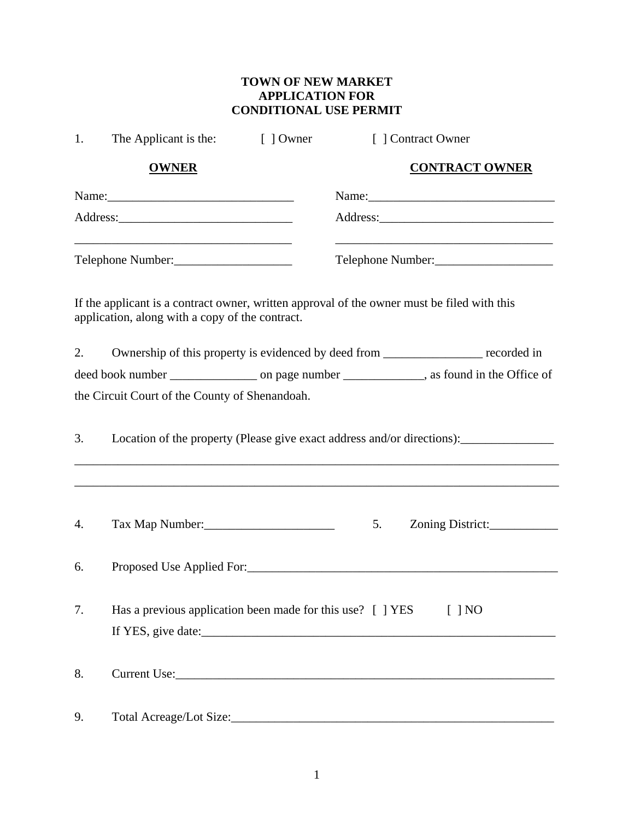## **TOWN OF NEW MARKET APPLICATION FOR CONDITIONAL USE PERMIT**

| 1. | The Applicant is the:<br>[ ] Owner                                                   | [ ] Contract Owner                                                                          |  |
|----|--------------------------------------------------------------------------------------|---------------------------------------------------------------------------------------------|--|
|    | <b>OWNER</b>                                                                         | <b>CONTRACT OWNER</b>                                                                       |  |
|    |                                                                                      |                                                                                             |  |
|    |                                                                                      |                                                                                             |  |
|    | Telephone Number:                                                                    | Telephone Number:                                                                           |  |
|    | application, along with a copy of the contract.                                      | If the applicant is a contract owner, written approval of the owner must be filed with this |  |
| 2. | Ownership of this property is evidenced by deed from ___________________ recorded in |                                                                                             |  |
|    |                                                                                      |                                                                                             |  |
|    | the Circuit Court of the County of Shenandoah.                                       |                                                                                             |  |
| 3. |                                                                                      |                                                                                             |  |
| 4. | Tax Map Number:                                                                      | 5.<br>Zoning District:                                                                      |  |
| 6. |                                                                                      |                                                                                             |  |
| 7. | Has a previous application been made for this use? [ ] YES<br>$[$ ] NO               |                                                                                             |  |
| 8. |                                                                                      |                                                                                             |  |
| 9. |                                                                                      |                                                                                             |  |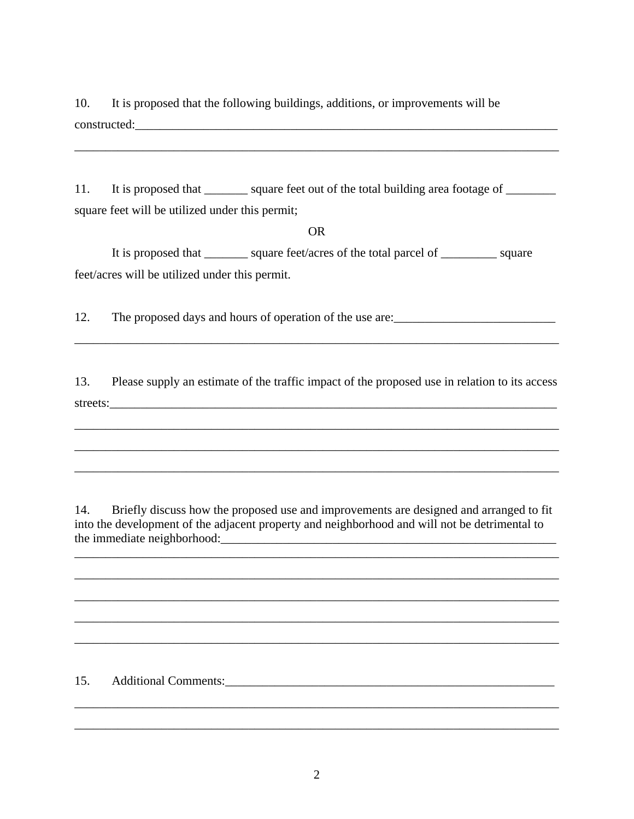10. It is proposed that the following buildings, additions, or improvements will be constructed:

11. It is proposed that \_\_\_\_\_\_\_ square feet out of the total building area footage of \_\_\_\_\_\_\_ square feet will be utilized under this permit;

## OR

It is proposed that \_\_\_\_\_\_\_ square feet/acres of the total parcel of \_\_\_\_\_\_\_\_\_ square feet/acres will be utilized under this permit.

12. The proposed days and hours of operation of the use are:

\_\_\_\_\_\_\_\_\_\_\_\_\_\_\_\_\_\_\_\_\_\_\_\_\_\_\_\_\_\_\_\_\_\_\_\_\_\_\_\_\_\_\_\_\_\_\_\_\_\_\_\_\_\_\_\_\_\_\_\_\_\_\_\_\_\_\_\_\_\_\_\_\_\_\_\_\_\_

13. Please supply an estimate of the traffic impact of the proposed use in relation to its access streets:\_\_\_\_\_\_\_\_\_\_\_\_\_\_\_\_\_\_\_\_\_\_\_\_\_\_\_\_\_\_\_\_\_\_\_\_\_\_\_\_\_\_\_\_\_\_\_\_\_\_\_\_\_\_\_\_\_\_\_\_\_\_\_\_\_\_\_\_\_\_\_\_

\_\_\_\_\_\_\_\_\_\_\_\_\_\_\_\_\_\_\_\_\_\_\_\_\_\_\_\_\_\_\_\_\_\_\_\_\_\_\_\_\_\_\_\_\_\_\_\_\_\_\_\_\_\_\_\_\_\_\_\_\_\_\_\_\_\_\_\_\_\_\_\_\_\_\_\_\_\_

\_\_\_\_\_\_\_\_\_\_\_\_\_\_\_\_\_\_\_\_\_\_\_\_\_\_\_\_\_\_\_\_\_\_\_\_\_\_\_\_\_\_\_\_\_\_\_\_\_\_\_\_\_\_\_\_\_\_\_\_\_\_\_\_\_\_\_\_\_\_\_\_\_\_\_\_\_\_

 $\frac{1}{2}$  ,  $\frac{1}{2}$  ,  $\frac{1}{2}$  ,  $\frac{1}{2}$  ,  $\frac{1}{2}$  ,  $\frac{1}{2}$  ,  $\frac{1}{2}$  ,  $\frac{1}{2}$  ,  $\frac{1}{2}$  ,  $\frac{1}{2}$  ,  $\frac{1}{2}$  ,  $\frac{1}{2}$  ,  $\frac{1}{2}$  ,  $\frac{1}{2}$  ,  $\frac{1}{2}$  ,  $\frac{1}{2}$  ,  $\frac{1}{2}$  ,  $\frac{1}{2}$  ,  $\frac{1$ 

14. Briefly discuss how the proposed use and improvements are designed and arranged to fit into the development of the adjacent property and neighborhood and will not be detrimental to the immediate neighborhood:

\_\_\_\_\_\_\_\_\_\_\_\_\_\_\_\_\_\_\_\_\_\_\_\_\_\_\_\_\_\_\_\_\_\_\_\_\_\_\_\_\_\_\_\_\_\_\_\_\_\_\_\_\_\_\_\_\_\_\_\_\_\_\_\_\_\_\_\_\_\_\_\_\_\_\_\_\_\_

\_\_\_\_\_\_\_\_\_\_\_\_\_\_\_\_\_\_\_\_\_\_\_\_\_\_\_\_\_\_\_\_\_\_\_\_\_\_\_\_\_\_\_\_\_\_\_\_\_\_\_\_\_\_\_\_\_\_\_\_\_\_\_\_\_\_\_\_\_\_\_\_\_\_\_\_\_\_

\_\_\_\_\_\_\_\_\_\_\_\_\_\_\_\_\_\_\_\_\_\_\_\_\_\_\_\_\_\_\_\_\_\_\_\_\_\_\_\_\_\_\_\_\_\_\_\_\_\_\_\_\_\_\_\_\_\_\_\_\_\_\_\_\_\_\_\_\_\_\_\_\_\_\_\_\_\_

\_\_\_\_\_\_\_\_\_\_\_\_\_\_\_\_\_\_\_\_\_\_\_\_\_\_\_\_\_\_\_\_\_\_\_\_\_\_\_\_\_\_\_\_\_\_\_\_\_\_\_\_\_\_\_\_\_\_\_\_\_\_\_\_\_\_\_\_\_\_\_\_\_\_\_\_\_\_

\_\_\_\_\_\_\_\_\_\_\_\_\_\_\_\_\_\_\_\_\_\_\_\_\_\_\_\_\_\_\_\_\_\_\_\_\_\_\_\_\_\_\_\_\_\_\_\_\_\_\_\_\_\_\_\_\_\_\_\_\_\_\_\_\_\_\_\_\_\_\_\_\_\_\_\_\_\_

\_\_\_\_\_\_\_\_\_\_\_\_\_\_\_\_\_\_\_\_\_\_\_\_\_\_\_\_\_\_\_\_\_\_\_\_\_\_\_\_\_\_\_\_\_\_\_\_\_\_\_\_\_\_\_\_\_\_\_\_\_\_\_\_\_\_\_\_\_\_\_\_\_\_\_\_\_\_

\_\_\_\_\_\_\_\_\_\_\_\_\_\_\_\_\_\_\_\_\_\_\_\_\_\_\_\_\_\_\_\_\_\_\_\_\_\_\_\_\_\_\_\_\_\_\_\_\_\_\_\_\_\_\_\_\_\_\_\_\_\_\_\_\_\_\_\_\_\_\_\_\_\_\_\_\_\_

## 15. Additional Comments: 15. Additional Comments: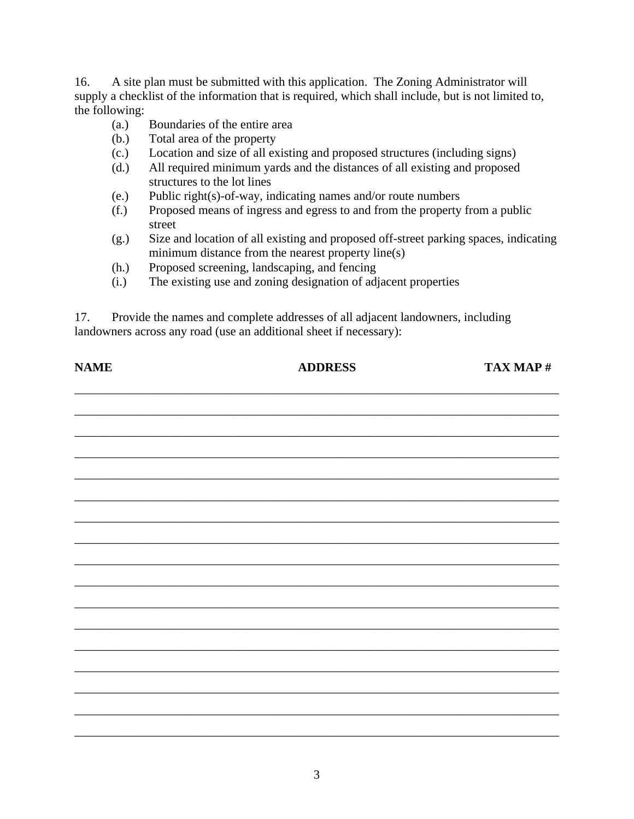16. A site plan must be submitted with this application. The Zoning Administrator will supply a checklist of the information that is required, which shall include, but is not limited to, the following:

- (a.) Boundaries of the entire area
- (b.) Total area of the property
- (c.) Location and size of all existing and proposed structures (including signs)
- (d.) All required minimum yards and the distances of all existing and proposed structures to the lot lines
- (e.) Public right(s)-of-way, indicating names and/or route numbers
- (f.) Proposed means of ingress and egress to and from the property from a public street
- (g.) Size and location of all existing and proposed off-street parking spaces, indicating minimum distance from the nearest property line(s)
- (h.) Proposed screening, landscaping, and fencing
- (i.) The existing use and zoning designation of adjacent properties

17. Provide the names and complete addresses of all adjacent landowners, including landowners across any road (use an additional sheet if necessary):

| <b>NAME</b> | <b>ADDRESS</b> | TAX MAP # |
|-------------|----------------|-----------|
|             |                |           |
|             |                |           |
|             |                |           |
|             |                |           |
|             |                |           |
|             |                |           |
|             |                |           |
|             |                |           |
|             |                |           |
|             |                |           |
|             |                |           |
|             |                |           |
|             |                |           |
|             |                |           |
|             |                |           |
|             |                |           |
|             |                |           |